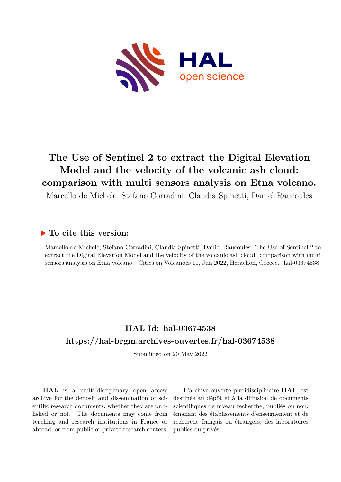

## **The Use of Sentinel 2 to extract the Digital Elevation Model and the velocity of the volcanic ash cloud: comparison with multi sensors analysis on Etna volcano.**

Marcello de Michele, Stefano Corradini, Claudia Spinetti, Daniel Raucoules

## **To cite this version:**

Marcello de Michele, Stefano Corradini, Claudia Spinetti, Daniel Raucoules. The Use of Sentinel 2 to extract the Digital Elevation Model and the velocity of the volcanic ash cloud: comparison with multi sensors analysis on Etna volcano.. Cities on Volcanoes 11, Jun 2022, Heraclion, Greece. hal-03674538

## **HAL Id: hal-03674538 <https://hal-brgm.archives-ouvertes.fr/hal-03674538>**

Submitted on 20 May 2022

**HAL** is a multi-disciplinary open access archive for the deposit and dissemination of scientific research documents, whether they are published or not. The documents may come from teaching and research institutions in France or abroad, or from public or private research centers.

L'archive ouverte pluridisciplinaire **HAL**, est destinée au dépôt et à la diffusion de documents scientifiques de niveau recherche, publiés ou non, émanant des établissements d'enseignement et de recherche français ou étrangers, des laboratoires publics ou privés.